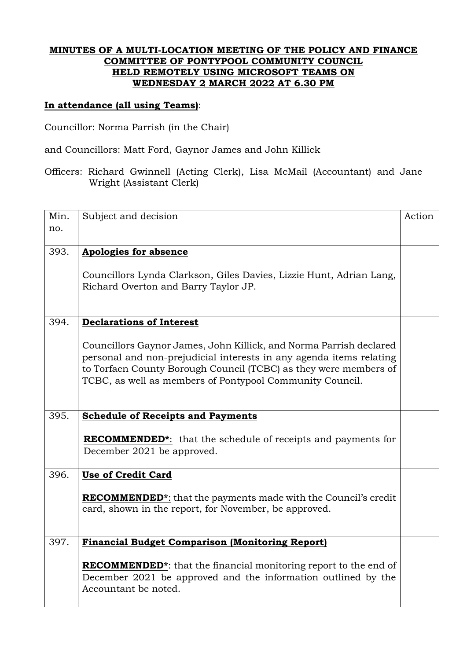#### **MINUTES OF A MULTI-LOCATION MEETING OF THE POLICY AND FINANCE COMMITTEE OF PONTYPOOL COMMUNITY COUNCIL HELD REMOTELY USING MICROSOFT TEAMS ON WEDNESDAY 2 MARCH 2022 AT 6.30 PM**

### **In attendance (all using Teams)**:

Councillor: Norma Parrish (in the Chair)

and Councillors: Matt Ford, Gaynor James and John Killick

Officers: Richard Gwinnell (Acting Clerk), Lisa McMail (Accountant) and Jane Wright (Assistant Clerk)

| Min. | Subject and decision                                                                 | Action |
|------|--------------------------------------------------------------------------------------|--------|
| no.  |                                                                                      |        |
|      |                                                                                      |        |
| 393. | <b>Apologies for absence</b>                                                         |        |
|      |                                                                                      |        |
|      | Councillors Lynda Clarkson, Giles Davies, Lizzie Hunt, Adrian Lang,                  |        |
|      | Richard Overton and Barry Taylor JP.                                                 |        |
|      |                                                                                      |        |
| 394. | <b>Declarations of Interest</b>                                                      |        |
|      |                                                                                      |        |
|      | Councillors Gaynor James, John Killick, and Norma Parrish declared                   |        |
|      | personal and non-prejudicial interests in any agenda items relating                  |        |
|      | to Torfaen County Borough Council (TCBC) as they were members of                     |        |
|      | TCBC, as well as members of Pontypool Community Council.                             |        |
|      |                                                                                      |        |
| 395. | <b>Schedule of Receipts and Payments</b>                                             |        |
|      |                                                                                      |        |
|      | <b>RECOMMENDED*:</b> that the schedule of receipts and payments for                  |        |
|      | December 2021 be approved.                                                           |        |
|      |                                                                                      |        |
| 396. | <b>Use of Credit Card</b>                                                            |        |
|      |                                                                                      |        |
|      | <b>RECOMMENDED</b> <sup>*</sup> : that the payments made with the Council's credit   |        |
|      | card, shown in the report, for November, be approved.                                |        |
|      |                                                                                      |        |
| 397. | <b>Financial Budget Comparison (Monitoring Report)</b>                               |        |
|      |                                                                                      |        |
|      | <b>RECOMMENDED</b> <sup>*</sup> : that the financial monitoring report to the end of |        |
|      | December 2021 be approved and the information outlined by the                        |        |
|      | Accountant be noted.                                                                 |        |
|      |                                                                                      |        |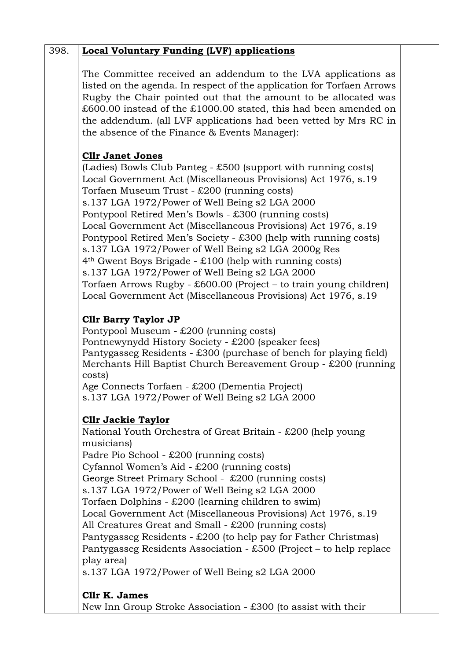|                           | The Committee received an addendum to the LVA applications as          |
|---------------------------|------------------------------------------------------------------------|
|                           | listed on the agenda. In respect of the application for Torfaen Arrows |
|                           | Rugby the Chair pointed out that the amount to be allocated was        |
|                           | £600.00 instead of the £1000.00 stated, this had been amended on       |
|                           | the addendum. (all LVF applications had been vetted by Mrs RC in       |
|                           | the absence of the Finance & Events Manager):                          |
|                           |                                                                        |
| <b>Cllr Janet Jones</b>   |                                                                        |
|                           | (Ladies) Bowls Club Panteg - £500 (support with running costs)         |
|                           | Local Government Act (Miscellaneous Provisions) Act 1976, s.19         |
|                           | Torfaen Museum Trust - £200 (running costs)                            |
|                           | s.137 LGA 1972/Power of Well Being s2 LGA 2000                         |
|                           | Pontypool Retired Men's Bowls - £300 (running costs)                   |
|                           | Local Government Act (Miscellaneous Provisions) Act 1976, s.19         |
|                           | Pontypool Retired Men's Society - £300 (help with running costs)       |
|                           | s.137 LGA 1972/Power of Well Being s2 LGA 2000g Res                    |
|                           | $4th$ Gwent Boys Brigade - £100 (help with running costs)              |
|                           | s.137 LGA 1972/Power of Well Being s2 LGA 2000                         |
|                           | Torfaen Arrows Rugby - £600.00 (Project – to train young children)     |
|                           | Local Government Act (Miscellaneous Provisions) Act 1976, s.19         |
|                           | <b>Clir Barry Taylor JP</b>                                            |
|                           | Pontypool Museum - $£200$ (running costs)                              |
|                           | Pontnewynydd History Society - £200 (speaker fees)                     |
|                           | Pantygasseg Residents - £300 (purchase of bench for playing field)     |
|                           | Merchants Hill Baptist Church Bereavement Group - £200 (running        |
| costs)                    |                                                                        |
|                           | Age Connects Torfaen - £200 (Dementia Project)                         |
|                           | s.137 LGA 1972/Power of Well Being s2 LGA 2000                         |
| <b>Cllr Jackie Taylor</b> |                                                                        |
|                           | National Youth Orchestra of Great Britain - £200 (help young           |
| musicians)                |                                                                        |
|                           | Padre Pio School - £200 (running costs)                                |
|                           | Cyfannol Women's Aid - £200 (running costs)                            |
|                           | George Street Primary School - £200 (running costs)                    |
|                           | s.137 LGA 1972/Power of Well Being s2 LGA 2000                         |
|                           | Torfaen Dolphins - £200 (learning children to swim)                    |
|                           | Local Government Act (Miscellaneous Provisions) Act 1976, s.19         |
|                           | All Creatures Great and Small - £200 (running costs)                   |
|                           | Pantygasseg Residents - £200 (to help pay for Father Christmas)        |
|                           | Pantygasseg Residents Association - £500 (Project – to help replace    |
| play area)                |                                                                        |
|                           | s.137 LGA 1972/Power of Well Being s2 LGA 2000                         |
|                           |                                                                        |
| Cllr K. James             |                                                                        |
|                           | New Inn Group Stroke Association - £300 (to assist with their          |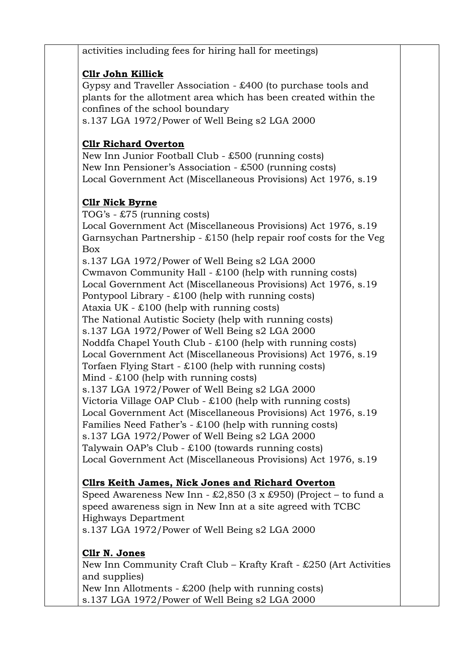activities including fees for hiring hall for meetings)

## **Cllr John Killick**

Gypsy and Traveller Association - £400 (to purchase tools and plants for the allotment area which has been created within the confines of the school boundary s.137 LGA 1972/Power of Well Being s2 LGA 2000

# **Cllr Richard Overton**

New Inn Junior Football Club - £500 (running costs) New Inn Pensioner's Association - £500 (running costs) Local Government Act (Miscellaneous Provisions) Act 1976, s.19

## **Cllr Nick Byrne**

TOG's - £75 (running costs) Local Government Act (Miscellaneous Provisions) Act 1976, s.19 Garnsychan Partnership - £150 (help repair roof costs for the Veg Box s.137 LGA 1972/Power of Well Being s2 LGA 2000 Cwmavon Community Hall - £100 (help with running costs) Local Government Act (Miscellaneous Provisions) Act 1976, s.19 Pontypool Library -  $\text{\pounds}100$  (help with running costs) Ataxia UK - £100 (help with running costs) The National Autistic Society (help with running costs) s.137 LGA 1972/Power of Well Being s2 LGA 2000 Noddfa Chapel Youth Club - £100 (help with running costs) Local Government Act (Miscellaneous Provisions) Act 1976, s.19 Torfaen Flying Start - £100 (help with running costs) Mind - £100 (help with running costs) s.137 LGA 1972/Power of Well Being s2 LGA 2000 Victoria Village OAP Club - £100 (help with running costs) Local Government Act (Miscellaneous Provisions) Act 1976, s.19 Families Need Father's - £100 (help with running costs) s.137 LGA 1972/Power of Well Being s2 LGA 2000 Talywain OAP's Club - £100 (towards running costs) Local Government Act (Miscellaneous Provisions) Act 1976, s.19

## **Cllrs Keith James, Nick Jones and Richard Overton**

Speed Awareness New Inn -  $\text{\pounds}2,850$  (3 x  $\text{\pounds}950$ ) (Project – to fund a speed awareness sign in New Inn at a site agreed with TCBC Highways Department s.137 LGA 1972/Power of Well Being s2 LGA 2000

## **Cllr N. Jones**

New Inn Community Craft Club – Krafty Kraft - £250 (Art Activities and supplies) New Inn Allotments - £200 (help with running costs) s.137 LGA 1972/Power of Well Being s2 LGA 2000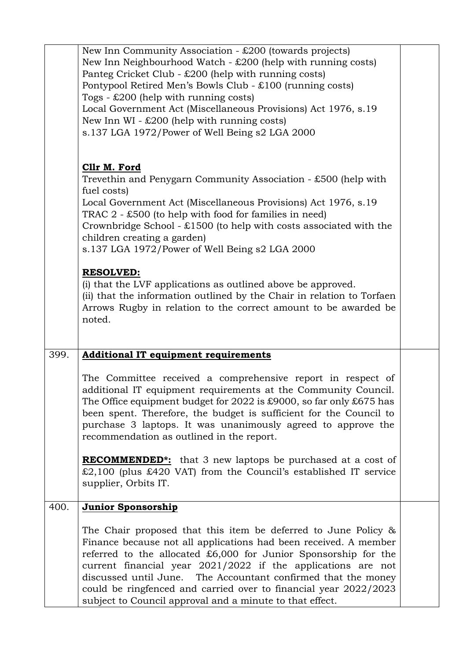|      | New Inn Community Association - $£200$ (towards projects)<br>New Inn Neighbourhood Watch - $£200$ (help with running costs)<br>Panteg Cricket Club - £200 (help with running costs)<br>Pontypool Retired Men's Bowls Club - £100 (running costs)<br>Togs - $\text{\pounds}200$ (help with running costs)<br>Local Government Act (Miscellaneous Provisions) Act 1976, s.19<br>New Inn WI - $£200$ (help with running costs)<br>s.137 LGA 1972/Power of Well Being s2 LGA 2000 |  |
|------|-------------------------------------------------------------------------------------------------------------------------------------------------------------------------------------------------------------------------------------------------------------------------------------------------------------------------------------------------------------------------------------------------------------------------------------------------------------------------------|--|
|      | Cllr M. Ford<br>Trevethin and Penygarn Community Association - $£500$ (help with<br>fuel costs)<br>Local Government Act (Miscellaneous Provisions) Act 1976, s.19<br>TRAC $2 - £500$ (to help with food for families in need)                                                                                                                                                                                                                                                 |  |
|      | Crownbridge School - $£1500$ (to help with costs associated with the<br>children creating a garden)<br>s.137 LGA 1972/Power of Well Being s2 LGA 2000<br><b>RESOLVED:</b>                                                                                                                                                                                                                                                                                                     |  |
|      | (i) that the LVF applications as outlined above be approved.<br>(ii) that the information outlined by the Chair in relation to Torfaen<br>Arrows Rugby in relation to the correct amount to be awarded be<br>noted.                                                                                                                                                                                                                                                           |  |
| 399. | <b>Additional IT equipment requirements</b>                                                                                                                                                                                                                                                                                                                                                                                                                                   |  |
|      | The Committee received a comprehensive report in respect of<br>additional IT equipment requirements at the Community Council.<br>The Office equipment budget for 2022 is £9000, so far only £675 has<br>been spent. Therefore, the budget is sufficient for the Council to<br>purchase 3 laptops. It was unanimously agreed to approve the<br>recommendation as outlined in the report.                                                                                       |  |
|      | <b>RECOMMENDED</b> <sup>*</sup> : that 3 new laptops be purchased at a cost of<br>$£2,100$ (plus £420 VAT) from the Council's established IT service<br>supplier, Orbits IT.                                                                                                                                                                                                                                                                                                  |  |
| 400. | <b>Junior Sponsorship</b>                                                                                                                                                                                                                                                                                                                                                                                                                                                     |  |
|      | The Chair proposed that this item be deferred to June Policy $\&$<br>Finance because not all applications had been received. A member<br>referred to the allocated $£6,000$ for Junior Sponsorship for the<br>current financial year 2021/2022 if the applications are not<br>discussed until June. The Accountant confirmed that the money<br>could be ringfenced and carried over to financial year 2022/2023<br>subject to Council approval and a minute to that effect.   |  |